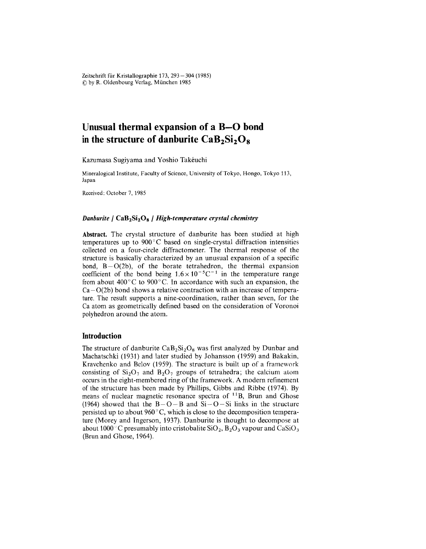Zeitschrift für Kristallographie 173, 293–304 (1985 (Q by R. Oldenbourg Verlag, München 1985

# **Unusual thermal expansion of a B-O bond** in the structure of danburite  $CaB_2Si_2O_8$

Kazumasa Sugiyama and Yoshio Takéuchi

Mineralogical lnstitute, Faculty of Science, University of Tokyo, Hongo, Tokyo 113, Japan

Received: October 7,1985

## *Danburite* / CaB<sub>2</sub>Si<sub>2</sub>O<sub>8</sub> / *High-temperature crystal chemistry*

Abstract. The crystal structure of danburite has been studied at high temperatures up to  $900^{\circ}$ C based on single-crystal diffraction intensities collected on a four-circle diffractometer. The thermal response of the structure is basically characterized by an unusual expansion of a specific bond,  $B - O(2b)$ , of the borate tetrahedron, the thermal expansion coefficient of the bond being  $1.6 \times 10^{-5}$ C<sup>-1</sup> in the temperature range from about  $400^{\circ}$ C to  $900^{\circ}$ C. In accordance with such an expansion, the  $Ca-O(2b)$  bond shows a relative contraction with an increase of temperature. The result supports a nine-coordination, rather than seven, for the Ca atom as geometrically defined based on the consideration of Voronoi polyhedron around the atom.

# **Introduction**

The structure of danburite  $CaB_2Si_2O_8$  was first analyzed by Dunbar and Machatschki (1931) and later studied by Johansson (1959) and Bakakin, Kravchenko and Belov (1959). The structure is built up of a framework consisting of  $Si<sub>2</sub>O<sub>7</sub>$  and  $B<sub>2</sub>O<sub>7</sub>$  groups of tetrahedra; the calcium atom occurs in the eight-membered ring of the framework. A modern refinement of the structure has been made by Phillips, Gibbs and Ribbe (1974). By means of nuclear magnetic resonance spectra of  $^{11}B$ , Brun and Ghose (1964) showed that the  $B-O-B$  and  $Si-O-Si$  links in the structure persisted up to about  $960^{\circ}$ C, which is close to the decomposition temperature (Morey and Ingerson, 1937). Danburite is thought to decompose at about 1000<sup>o</sup> C presumably into cristobalite  $SiO<sub>2</sub>$ ,  $B<sub>2</sub>O<sub>3</sub>$  vapour and CaSiO<sub>3</sub> (Brun and Ghose, 1964).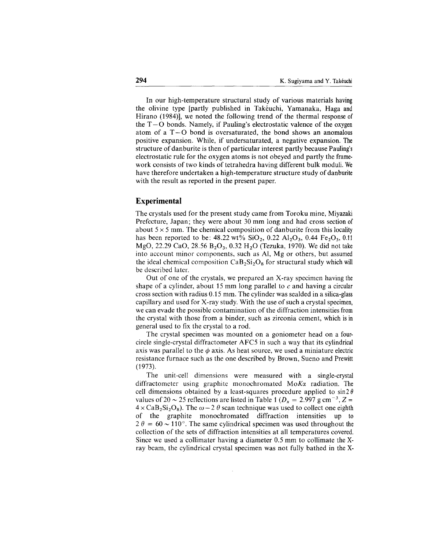In our high-temperature structural study of various materials having the olivine type [partly published in Takéuchi, Yamanaka, Haga and Hirano (1984)], we noted the following trend of the thermal response of the  $T - O$  bonds. Namely, if Pauling's electrostatic valence of the oxygen atom of a  $T - O$  bond is oversaturated, the bond shows an anomalous positive expansion. While, if undersaturated, a negative expansion. The structure of danburite is then of particular interest partly because Pauling's electrostatic rule for the oxygen atoms is not obeyed and partly the framework consists of two kinds of tetrahedra having different bulk moduli. We have therefore undertaken a high-temperature structure study of danburite with the result as reported in the present paper.

# **Experimental**

The crystals used for the present study came from Toroku mine, Miyazaki Prefecture, Japan; they were about 30 mm long and had cross section of about  $5 \times 5$  mm. The chemical composition of danburite from this locality has been reported to be:  $48.22 \text{ wt\% } SiO_2$ ,  $0.22 \text{ Al}_2O_3$ ,  $0.44 \text{ Fe}_2O_3$ ,  $0.11$ MgO, 22.29 CaO, 28.56  $B_2O_3$ , 0.32 H<sub>2</sub>O (Tezuka, 1970). We did not take into account minor components, such as Al, Mg or others, but assumed the ideal chemical composition  $CaB_2Si_2O_8$  for structural study which will be described later.

Out of one of the crystals, we prepared an X-ray specimen having the shape of a cylinder, about 15 mm long parallel to  $c$  and having a circular cross section with radius 0.15 mm. The cylinder was sealded in a silica-glass capillary and used for X-ray study. With the use of such a crystal specimen, we can evade the possible contamination of the diffraction intensities from the crystal with those from a binder, such as zirconia cement, which is in general used to fix the crystal to a rod.

The crystal specimen was mounted on a goniometer head on a fourcircle single-crystal diffractometer AFC5 in such a way that its cylindrical axis was parallel to the  $\phi$  axis. As heat source, we used a miniature electric resistance furnace such as the one described by Brown, Sueno and Prewitt (1973).

The unit-cell dimensions were measured with a single-crystal diffractometer using graphite monochromated MoKa radiation. The cell dimensions obtained by a least-squares procedure applied to  $\sin 2\theta$ values of 20  $\sim$  25 reflections are listed in Table 1 ( $D_x = 2.997$  g cm<sup>-3</sup>, Z =  $4 \times \text{CaB}_2\text{Si}_2\text{O}_8$ ). The  $\omega - 2 \theta$  scan technique was used to collect one eighth of the graphite monochromated diffraction intensities up to  $2 \theta = 60 \sim 110^{\circ}$ . The same cylindrical specimen was used throughout the collection of the sets of diffraction intensities at all temperatures covered. Since we used a collimater having a diameter 0.5 mm to collimate the Xray beam, the cylindrical crystal specimen was not fully bathed in the X-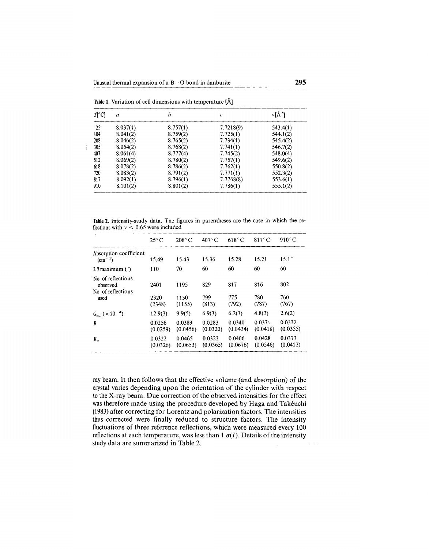| Table 1. Variation of cell dimensions with temperature [Å] |  |  |  |  |  |  |  |
|------------------------------------------------------------|--|--|--|--|--|--|--|
|------------------------------------------------------------|--|--|--|--|--|--|--|

 $\frac{1}{4}$ 

| $T[^{\circ}C]$ | $\boldsymbol{a}$ | h        | $\mathcal{C}_{0}^{2}$ | $v[A^3]$ |
|----------------|------------------|----------|-----------------------|----------|
| 25             | 8.037(1)         | 8.757(1) | 7.7218(9)             | 543.4(1) |
| 104            | 8.041(2)         | 8.759(2) | 7.725(1)              | 544.1(2) |
| 208            | 8.046(2)         | 8.765(2) | 7.734(1)              | 545.4(2) |
| 305            | 8.054(2)         | 8.768(2) | 7.741(1)              | 546.7(2) |
| 407            | 8.061(4)         | 8.777(4) | 7.745(2)              | 548.0(4) |
| 512            | 8.069(2)         | 8.780(2) | 7.757(1)              | 549.6(2) |
| 618            | 8.078(2)         | 8.786(2) | 7.762(1)              | 550.8(2) |
| 720            | 8.083(2)         | 8.791(2) | 7.771(1)              | 552.3(2) |
| 817            | 8.092(1)         | 8.796(1) | 7.7768(8)             | 553.6(1) |
| 910            | 8.101(2)         | 8.801(2) | 7.786(1)              | 555.1(2) |

Table 2. Intensity-study data. The figures in parentheses are the case in which the reflections with  $y < 0.65$  were included

|                                                              | $25^{\circ}$ C         | $208^{\circ}$ C        | $407^{\circ}$ C     | $618^{\circ}$ C     | $817^{\circ}$ C     | $910^{\circ}$ C     |
|--------------------------------------------------------------|------------------------|------------------------|---------------------|---------------------|---------------------|---------------------|
| Absorption coefficient<br>$\rm (cm^{-1})$                    | 15.49                  | 15.43                  | 15.36               | 15.28               | 15.21               | $15.1^{\circ}$      |
| $2 \theta$ maximum (°)                                       | 110                    | 70                     | 60                  | 60                  | 60                  | 60                  |
| No. of reflections<br>observed<br>No. of reflections<br>used | 2401<br>2320<br>(2348) | 1195<br>1130<br>(1155) | 829<br>799<br>(813) | 817<br>775<br>(792) | 816<br>780<br>(787) | 802<br>760<br>(767) |
| $Giso. (\times 10^{-4})$                                     | 12.9(3)                | 9.9(5)                 | 6.9(3)              | 6.2(3)              | 4.8(3)              | 2.6(2)              |
| R                                                            | 0.0256<br>(0.0259)     | 0.0389<br>(0.0456)     | 0.0283<br>(0.0320)  | 0.0340<br>(0.0434)  | 0.0371<br>(0.0418)  | 0.0332<br>(0.0355)  |
| $R_{w}$                                                      | 0.0322<br>(0.0326)     | 0.0465<br>(0.0653)     | 0.0323<br>(0.0365)  | 0.0406<br>(0.0676)  | 0.0428<br>(0.0546)  | 0.0373<br>(0.0412)  |

ray beam. It then follows that the effective volume (and absorption) of the crystal varies depending upon the orientation of the cylinder with respect to the X-ray beam. Due correction of the observed intensities for the effect was therefore made using the procedure developed by Haga and Takéuchi (1983) after correcting for Lorentz and polarization factors. The intensities thus corrected were finally reduced to structure factors. The intensity fluctuations of three reference reflections, which were measured every 100 reflections at each temperature, was less than 1  $\sigma(I)$ . Details of the intensity study data are summarized in Table 2.

 $\overline{\mathbb{R}}$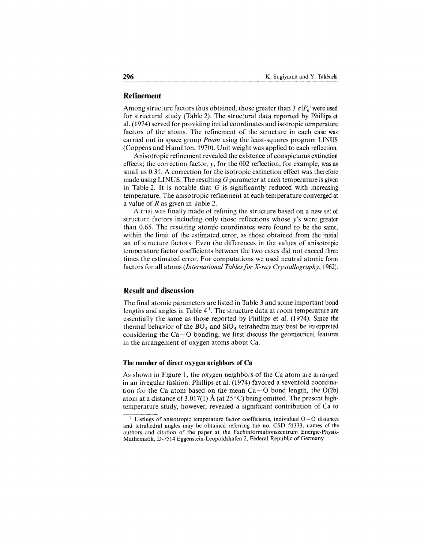# **Refinement**

Among structure factors thus obtained, those greater than  $3 \sigma |F_{o}|$  were used for structural study (Table 2). The structural data reported by Phillips et al. (1974) served for providing initial coordinates and isotropic temperature factors of the atoms. The refinement of the structure in each case was carried out in space group *Pnam* using the least-squares program LINUS (Coppens and Hamilton, 1970). Unit weight was applied to each reflection.

Anisotropic refinement revealed the existence of conspicuous extinction effects; the correction factor,  $y$ , for the 002 reflection, for example, was as small as 0.31. A correction for the isotropic extinction effect was therefore made using LINUS. The resulting  $G$  parameter at each temperature is given in Table 2. It is notable that  $G$  is significantly reduced with increasing temperature. The anisotropic refinement at each temperature converged at a value of Ras given in Table 2.

A trial was finally made of refining the structure based on a new set of structure factors including only those reflections whose *y's* were greater than 0.65. The resulting atomic coordinates were found to be the same, within the limit of the estimated error, as those obtained from the initial set of structure factors. Even the differences in the values of anisotropic temperature factor coefficients between the two cases did not exceed three times the estimated error. For computations we used neutral atomic form factors for all atoms *(lnternational Tablesfor X-ray Crystallography, 1962).*

## **ResuIt and discussion**

The final atomic parameters are listed in Table 3 and some important bond lengths and angles in Table  $4<sup>1</sup>$ . The structure data at room temperature are essentially the same as those reported by Phillips et al. (1974). Since the thermal behavior of the  $BO_4$  and  $SiO_4$  tetrahedra may best be interpreted considering the  $Ca-O$  bonding, we first discuss the geometrical features in the arrangement of oxygen atoms about Ca.

#### **The number of direct oxygen neighbors of Ca**

As shown in Figure 1, the oxygen neighbors of the Ca atom are arranged in an irregular fashion. Phillips et al. (1974) favored a sevenfold coordination for the Ca atom based on the mean  $Ca-O$  bond length, the  $O(2b)$ atom at a distance of 3.017(1) Å (at 25 $^{\circ}$ C) being omitted. The present hightemperature study, however, revealed a significant contribution of Ca to

 $1$  Listings of anisotropic temperature factor coefficients, individual  $O-O$  distances and tetrahedral angles may be obtained referring the no. CSD 51333, names of the authors and citation of the paper at the Fachinformationszentrum Energie-Physik-Mathematik, D-7514 Eggenstein-Leopoldshafen 2, Federal Republic of Germany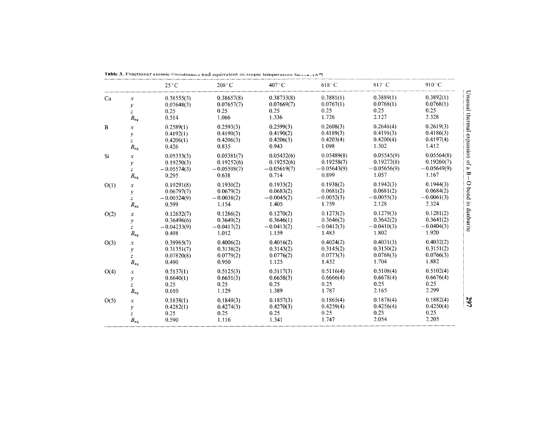|      |                     | $25^{\circ}$ C | $208^{\circ}$ C | $407^{\circ}$ C | $618^\circ$ C | 817°C         | 910°C         |
|------|---------------------|----------------|-----------------|-----------------|---------------|---------------|---------------|
| Ca   | $\boldsymbol{x}$    | 0.38555(3)     | 0.38657(8)      | 0.38733(8)      | 0.3881(1)     | 0.3889(1)     | 0.3892(1)     |
|      | y                   | 0.07648(3)     | 0.07657(7)      | 0.07669(7)      | 0.0767(1)     | 0.0768(1)     | 0.0768(1)     |
|      | $\boldsymbol{z}$    | 0.25           | 0.25            | 0.25            | 0.25          | 0.25          | 0.25          |
|      | $B_{\rm eq}$        | 0.514          | 1.066           | 1.336           | 1.726         | 2.127         | 2.328         |
| B    | $\boldsymbol{x}$    | 0.2589(1)      | 0.2593(3)       | 0.2599(3)       | 0.2608(3)     | 0.2641(4)     | 0.2619(3)     |
|      | y                   | 0.4192(1)      | 0.4190(3)       | 0.4190(2)       | 0.4189(3)     | 0.4191(3)     | 0.4186(3)     |
|      | $\bar{z}$           | 0.4206(1)      | 0.4206(3)       | 0.4206(3)       | 0.4203(4)     | 0.4200(4)     | 0.4197(4)     |
|      | $B_{eq}$            | 0.426          | 0.835           | 0.943           | 1.098         | 1.302         | 1.412         |
| Si   | $\chi$              | 0.05333(3)     | 0.05381(7)      | 0.05432(6)      | 0.05489(8)    | 0.05545(9)    | 0.05564(8)    |
|      | y                   | 0.19250(3)     | 0.19252(6)      | 0.19252(6)      | 0.19258(7)    | 0.19272(8)    | 0.19260(7)    |
|      | $\boldsymbol{z}$    | $-0.05574(3)$  | $-0.05598(7)$   | $-0.05619(7)$   | $-0.05643(9)$ | $-0.05656(9)$ | $-0.05649(9)$ |
|      | $B_{\rm eq}$        | 0.295          | 0.638           | 0.714           | 0.899         | 1.057         | 1.167         |
| O(1) | $\boldsymbol{x}$    | 0.19291(8)     | 0.1930(2)       | 0.1935(2)       | 0.1938(2)     | 0.1942(3)     | 0.1944(3)     |
|      | у                   | 0.06797(7)     | 0.0679(2)       | 0.0683(2)       | 0.0681(2)     | 0.0681(2)     | 0.0684(2)     |
|      | $\mathcal{Z}$       | $-0.00324(9)$  | $-0.0038(2)$    | $-0.0045(2)$    | $-0.0052(3)$  | $-0.0055(3)$  | $-0.0061(3)$  |
|      | $B_{\rm eq}$        | 0.599          | 1.154           | 1.405           | 1.759         | 2.128         | 2.324         |
| O(2) | $\boldsymbol{x}$    | 0.12632(7)     | 0.1266(2)       | 0.1270(2)       | 0.1273(2)     | 0.1279(3)     | 0.1281(2)     |
|      | y                   | 0.36496(6)     | 0.3649(2)       | 0.3646(1)       | 0.3646(2)     | 0.3642(2)     | 0.3641(2)     |
|      | $\overline{z}$      | $-0.04233(9)$  | $-0.0417(2)$    | $-0.0413(2)$    | $-0.0412(3)$  | $-0.0410(3)$  | $-0.0404(3)$  |
|      | $B_{\rm eq}$        | 0.498          | 1.012           | 1.159           | 1.483         | 1.802         | 1.920         |
| O(3) | $\boldsymbol{x}$    | 0.39965(7)     | 0.4006(2)       | 0.4016(2)       | 0.4024(2)     | 0.4031(3)     | 0.4032(2)     |
|      | $\mathcal{Y}$       | 0.31351(7)     | 0.3138(2)       | 0.3143(2)       | 0.3145(2)     | 0.3150(2)     | 0.3151(2)     |
|      | $\overline{z}$      | 0.07820(8)     | 0.0779(2)       | 0.0776(2)       | 0.0773(3)     | 0.0768(3)     | 0.0766(3)     |
|      | $B_{\rm eq}$        | 0.490          | 0.950           | 1.125           | 1.432         | 1.704         | 1.882         |
| O(4) | $\boldsymbol{\chi}$ | 0.5137(1)      | 0.5125(3)       | 0.5117(3)       | 0.5116(4)     | 0.5108(4)     | 0.5102(4)     |
|      | y                   | 0.6640(1)      | 0.6651(3)       | 0.6658(3)       | 0.6666(4)     | 0.6678(4)     | 0.6676(4)     |
|      | $\bar{z}$           | 0.25           | 0.25            | 0.25            | 0.25          | 0.25          | 0.25          |
|      | $B_{\rm eq}$        | 0.610          | 1.129           | 1.389           | 1.787         | 2.165         | 2.299         |
| O(5) | $\boldsymbol{x}$    | 0.1838(1)      | 0.1849(3)       | 0.1857(3)       | 0.1865(4)     | 0.1878(4)     | 0.1882(4)     |
|      | $\boldsymbol{y}$    | 0.4282(1)      | 0.4274(3)       | 0.4270(3)       | 0.4259(4)     | 0.4256(4)     | 0.4250(4)     |
|      | $\mathcal{Z}$       | 0.25           | 0.25            | 0.25            | 0.25          | 0.25          | 0.25          |
|      | $B_{eq}$            | 0.590          | 1.116           | 1.341           | 1.747         | 2.054         | 2.205         |

|  |  | Table 3. Fractionar atomic Coordinates and equivalent is tropic temperature factors (A" |  |  |  |  |  |  |  |
|--|--|-----------------------------------------------------------------------------------------|--|--|--|--|--|--|--|
|--|--|-----------------------------------------------------------------------------------------|--|--|--|--|--|--|--|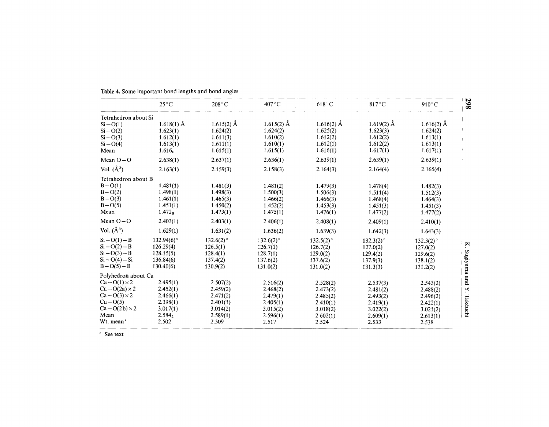|                       | $25^{\circ}$ C     | $208^{\circ}$ C         | 407°C        | 618 C        | 817°C        | 910°C        |
|-----------------------|--------------------|-------------------------|--------------|--------------|--------------|--------------|
| Tetrahedron about Si  |                    |                         |              |              |              |              |
| $Si-O(1)$             | $1.618(1)$ Å       | $1.615(2)$ Å            | $1.615(2)$ Å | $1.616(2)$ Å | $1.619(2)$ Å | $1.616(2)$ Å |
| $Si-O(2)$             | 1.623(1)           | 1.624(2)                | 1.624(2)     | 1.625(2)     | 1.623(3)     | 1.624(2)     |
| $Si-O(3)$             | 1.612(1)           | 1.611(3)                | 1.610(2)     | 1.612(2)     | 1.612(2)     | 1.613(1)     |
| $Si - O(4)$           | 1.613(1)           | 1.611(1)                | 1.610(1)     | 1.612(1)     | 1.612(2)     | 1.613(1)     |
| Mean                  | 1.616 <sub>o</sub> | 1.615(1)                | 1.615(1)     | 1.616(1)     | 1.617(1)     | 1.617(1)     |
| Mean $O-O$            | 2.638(1)           | 2.637(1)                | 2.636(1)     | 2.639(1)     | 2.639(1)     | 2.639(1)     |
| Vol. $(\AA^3)$        | 2.163(1)           | 2.159(3)                | 2.158(3)     | 2.164(3)     | 2.164(4)     | 2.165(4)     |
| Tetrahedron about B   |                    |                         |              |              |              |              |
| $B - O(1)$            | 1.481(1)           | 1.481(3)                | 1.481(2)     | 1.479(3)     | 1.478(4)     | 1.482(3)     |
| $B - O(2)$            | 1.498(1)           | 1.498(3)                | 1.500(3)     | 1.506(3)     | 1.511(4)     | 1.512(3)     |
| $B - O(3)$            | 1.461(1)           | 1.465(3)                | 1.466(2)     | 1.466(3)     | 1.468(4)     | 1.464(3)     |
| $B-O(5)$              | 1.451(1)           | 1.450(2)                | 1.452(2)     | 1.453(3)     | 1.451(3)     | 1.451(3)     |
| Mean                  | 1.472 <sub>8</sub> | 1.473(1)                | 1.475(1)     | 1.476(1)     | 1.477(2)     | 1.477(2)     |
| Mean $O-O$            | 2.403(1)           | 2.403(1)                | 2.406(1)     | 2.408(1)     | 2.409(1)     | 2.410(1)     |
| Vol. $(\AA^3)$        | 1.629(1)           | 1.631(2)                | 1.636(2)     | 1.639(3)     | 1.642(3)     | 1.643(3)     |
| $Si - O(1) - B$       | $132.94(6)$ °      | $132.6(2)$ <sup>o</sup> | $132.6(2)$ ° | $132.5(2)$ ° | $132.3(2)$ ° | $132.3(2)$ ° |
| $Si - O(2) - B$       | 126.29(4)          | 126.5(1)                | 126.7(1)     | 126.7(2)     | 127.0(2)     | 127.0(2)     |
| $Si - O(3) - B$       | 128.15(5)          | 128.4(1)                | 128.7(1)     | 129.0(2)     | 129.4(2)     | 129.6(2)     |
| $Si - O(4) - Si$      | 136.84(6)          | 137.4(2)                | 137.6(2)     | 137.6(2)     | 137.9(3)     | 138.1(2)     |
| $B - O(5) - B$        | 130.40(6)          | 130.9(2)                | 131.0(2)     | 131.0(2)     | 131.3(3)     | 131.2(2)     |
| Polyhedron about Ca   |                    |                         |              |              |              |              |
| $Ca-O(1) \times 2$    | 2.495(1)           | 2.507(2)                | 2.516(2)     | 2.528(2)     | 2.537(3)     | 2.543(2)     |
| $Ca-O(2a) \times 2$   | 2.452(1)           | 2.459(2)                | 2.468(2)     | 2.473(2)     | 2.481(2)     | 2.488(2)     |
| $Ca-O(3) \times 2$    | 2.466(1)           | 2.471(2)                | 2.479(1)     | 2.485(2)     | 2.493(2)     | 2.496(2)     |
| $Ca-O(5)$             | 2.398(1)           | 2.401(1)                | 2.405(1)     | 2.410(1)     | 2.419(1)     | 2.422(1)     |
| $Ca-O(2b)\times 2$    | 3.017(1)           | 3.014(2)                | 3.015(2)     | 3.018(2)     | 3.022(2)     | 3.021(2)     |
| Mean                  | 2.584,             | 2.589(1)                | 2.596(1)     | 2.602(1)     | 2.609(1)     | 2.613(1)     |
| Wt. mean <sup>a</sup> | 2.502              | 2.509                   | 2.517        | 2.524        | 2.533        | 2.538        |

**Table 4.** Some important bond lengths and bond angles

<sup>a</sup> See text

 $\frac{1}{208}$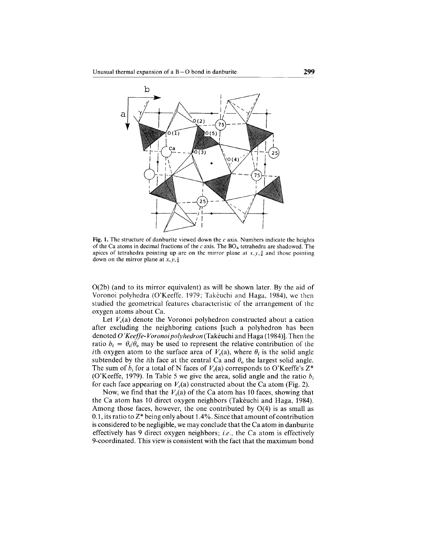

Fig. 1. The structure of danburite viewed down the  $c$  axis. Numbers indicate the heights of the Ca atoms in decimal fractions of the  $c$  axis. The BO<sub>4</sub> tetrahedra are shadowed. The apices of tetrahedra pointing up are on the mirror plane at  $x, y, \frac{3}{4}$  and those pointing down on the mirror plane at  $x, y, \frac{1}{4}$ 

0(2b) (and to its mirror equivalent) as will be shown later. By the aid of Voronoi polyhedra (O'Keeffe, 1979; Takéuchi and Haga, 1984), wc thcn studied the geometrical features characteristic of the arrangement of the oxygen atoms about Ca.

Let  $V_c$ (a) denote the Voronoi polyhedron constructed about a cation after excluding the neighboring cations [such a polyhedron has been denoted O *'Keeffe- Voronoi polyhedron* (Takéuchi and Haga (1984)]. Then the ratio  $b_i = \theta_i/\theta_0$  may be used to represent the relative contribution of the *i*th oxygen atom to the surface area of  $V_c(a)$ , where  $\theta_i$  is the solid angle subtended by the *i*th face at the central Ca and  $\theta_0$  the largest solid angle. The sum of  $b_i$  for a total of N faces of  $V_c(a)$  corresponds to O'Keeffe's  $Z^*$ (O'Keeffe, 1979). In Table 5 we give the area, solid angle and the ratio *b¡* for each face appearing on  $V_c(a)$  constructed about the Ca atom (Fig. 2).

Now, we find that the  $V_c(a)$  of the Ca atom has 10 faces, showing that the Ca atom has 10 direct oxygen neighbors (Takéuchi and Haga, 1984). Among those faces, however, the one contributed by  $O(4)$  is as small as 0.1, its ratio to  $Z^*$  being only about 1.4%. Since that amount of contribution is considered to be negligible, we may conclude that the Ca atom in danburite effectively has 9 direct oxygen neighbors; *i.e.*, the Ca atom is effectively 9-coordinated. This view is consistent with the fact that the maximum bond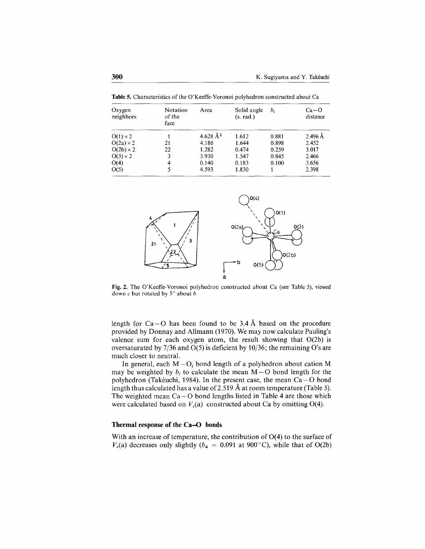Table 5. Characteristics of the O'Keeffe- Voronoi polyhedron constructed about Ca

| Oxygen<br>neighbors | Notation<br>of the<br>face | Area                 | Solid angle<br>(s. rad.) | b.    | $Ca - O$<br>distance |
|---------------------|----------------------------|----------------------|--------------------------|-------|----------------------|
| $O(1) \times 2$     |                            | 4.628 Å <sup>2</sup> | 1.612                    | 0.881 | $2.496$ Å            |
| $O(2a) \times 2$    | 21                         | 4.186                | 1.644                    | 0.898 | 2.452                |
| $O(2b) \times 2$    | 22                         | 1.282                | 0.474                    | 0.259 | 3.017                |
| $O(3) \times 2$     | 3                          | 3.930                | 1.547                    | 0.845 | 2.466                |
| O(4)                | 4                          | 0.140                | 0.183                    | 0.100 | 3.656                |
| O(5)                |                            | 4.593                | 1.830                    |       | 2.398                |



Fig.2. The O'Keeffe-Voronoi polyhedron constructed about Ca (see Table 5), viewed down  $c$  but rotated by  $5^\circ$  about  $b$ 

length for  $Ca - O$  has been found to be 3.4 Å based on the procedure provided by Donnay and Allmann (1970). We may now calculate Pauling's valence sum for each oxygen atom, the result showing that  $O(2b)$  is oversaturated by 7/36 and 0(5) is deficient by 10/36; the remaining O's are much closer to neutral.

In general, each  $M - O_i$  bond length of a polyhedron about cation M may be weighted by  $b_i$  to calculate the mean  $M - O$  bond length for the polyhedron (Takéuchi, 1984). In the present case, the mean  $Ca-O$  bond length thus calculated has a value of 2.519 Å at room temperature (Table 5). The weighted mean  $Ca-O$  bond lengths listed in Table 4 are those which were calculated based on  $V_c(a)$  constructed about Ca by omitting O(4).

#### **Thermal response of the Ca-O bonds**

With an increase of temperature, the contribution of  $O(4)$  to the surface of  $V_c(a)$  decreases only slightly ( $b_4 = 0.091$  at 900°C), while that of O(2b)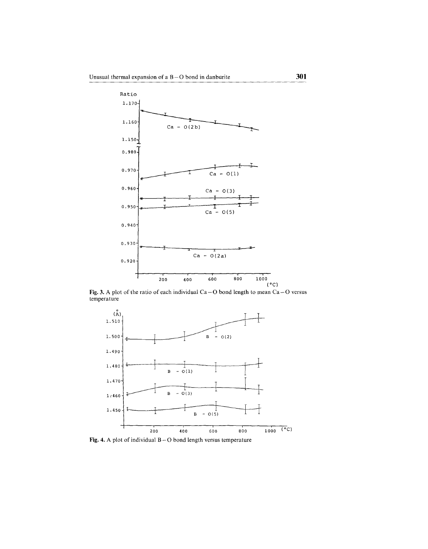

Fig. 3. A plot of the ratio of each individual  $Ca-O$  bond length to mean  $Ca-O$  versus temperature



Fig. 4. A plot of individual  $B - O$  bond length versus temperature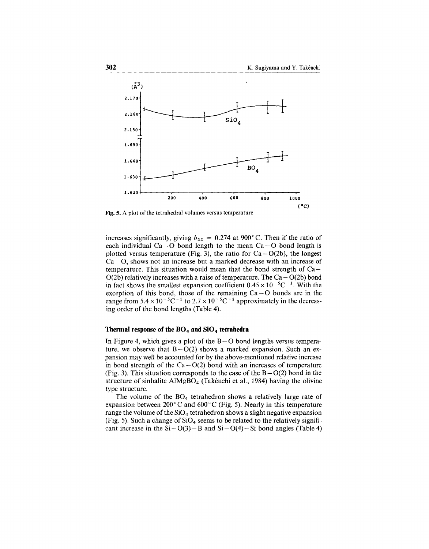

Fig. 5. A plot of the tetrahedral volumes versus temperature

increases significantly, giving  $b_{22} = 0.274$  at 900°C. Then if the ratio of each individual  $Ca - O$  bond length to the mean  $Ca - O$  bond length is plotted versus temperature (Fig. 3), the ratio for  $Ca-O(2b)$ , the longest  $Ca - O$ , shows not an increase but a marked decrease with an increase of temperature. This situation would mean that the bond strength of  $Ca O(2b)$  relatively increases with a raise of temperature. The  $Ca-O(2b)$  bond in fact shows the smallest expansion coefficient  $0.45 \times 10^{-5}$ C<sup>-1</sup>. With the exception of this bond, those of the remaining  $Ca-O$  bonds are in the range from  $5.4 \times 10^{-5}$ C<sup>-1</sup> to  $2.7 \times 10^{-5}$ C<sup>-1</sup> approximately in the decreasing order of the bond lengths (Table 4).

### **Therma] response of the B04 and Si04 tetrahedra**

In Figure 4, which gives a plot of the  $B - O$  bond lengths versus temperature, we observe that  $B-O(2)$  shows a marked expansion. Such an expansion may well be accounted for by the above-mentioned relative increase in bond strength of the  $Ca - O(2)$  bond with an increases of temperature (Fig. 3). This situation corresponds to the case of the  $B - O(2)$  bond in the structure of sinhalite  $\text{AlMgBO}_4$  (Takéuchi et al., 1984) having the olivine type structure.

The volume of the  $BO_4$  tetrahedron shows a relatively large rate of expansion between 200°C and 600°C (Fig. 5). NearIy in this temperature range the volume of the  $SiO<sub>4</sub>$  tetrahedron shows a slight negative expansion (Fig. 5). Such a change of  $SiO<sub>4</sub>$  seems to be related to the relatively significant increase in the  $Si-O(3) - B$  and  $Si-O(4) - Si$  bond angles (Table 4)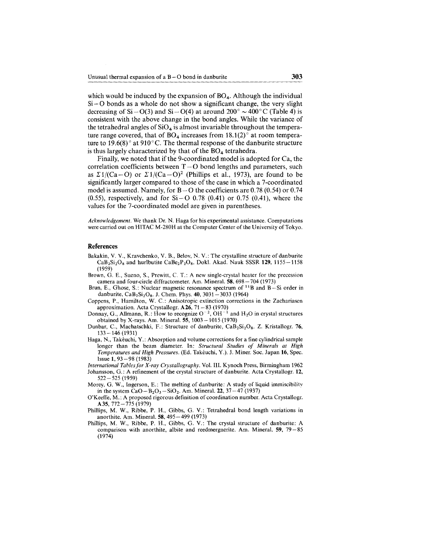which would be induced by the expansion of  $BO<sub>4</sub>$ . Although the individual  $Si-O$  bonds as a whole do not show a significant change, the very slight decreasing of  $Si - O(3)$  and  $Si - O(4)$  at around 200°  $\sim$  400° C (Table 4) is consistent with the above change in the bond angles. While the variance of the tetrahedral angles of  $SiO<sub>4</sub>$  is almost invariable throughout the temperature range covered, that of  $BO_4$  increases from 18.1(2) $\degree$  at room temperature to 19.6(8) $^{\circ}$  at 910 $^{\circ}$ C. The thermal response of the danburite structure is thus largely characterized by that of the  $BO<sub>4</sub>$  tetrahedra.

Finally, we noted that if the 9-coordinated model is adopted for Ca, the correlation coefficients between  $T - O$  bond lengths and parameters, such as  $\Sigma 1/(Ca-O)$  or  $\Sigma 1/(Ca-O)^2$  (Phillips et al., 1973), are found to be significantly larger compared to those of the case in which a 7-coordinated model is assumed. Namely, for  $B-O$  the coefficients are 0.78 (0.54) or 0.74 (0.55), respectively, and for  $Si-O$  0.78 (0.41) or 0.75 (0.41), where the values for the 7-coordinated model are given in parentheses.

*Acknowledgement.* We thank Dr. N. Haga for his experimental assistance. Computations were carried out on HITAC M-280H at the Computer Center of the University of Tokyo.

#### References

- Bakakin, V. V., Kravchenko, V. B., Belov, N. V.: The crystalline structure of danburite  $CaB_2Si_2O_8$  and hurlbutite  $CaBe_2P_2O_8$ . Dokl. Akad. Nauk SSSR 129, 1155 -1158 (1959)
- Brown, G. E., Sueno, S., Prewitt, C. T.: A new single-crystal heater for the precession camera and four-circle diffractometer. Am. Mineral.  $58,698 - 704$  (1973)
- Brun, E., Ghose, S.: Nuclear magnetic resonance spectrum of  $^{11}B$  and B-Si order in danburite,  $CaB_2Si_2O_8$ . J. Chem. Phys. 40, 3031 - 3033 (1964)
- Coppens, P., Hamilton, W. c.: Anisotropic extinction corrections in the Zachariasen approximation. Acta Crystallogr.  $A26$ ,  $71-83$  (1970)
- Donnay, G., Allmann, R.: How to recognize  $O^{-2}$ ,  $OH^{-1}$  and  $H_2O$  in crystal structures obtained by X-rays. Am. Mineral.  $55$ ,  $1003 - 1015$  (1970)
- Dunbar, C., Machatschki, F.: Structure of danburite, CaB<sub>2</sub>Si<sub>2</sub>O<sub>8</sub>. Z. Kristallogr. 76, 133 -146 (1931)
- Haga, N., Takéuchi, Y.: Absorption and volume corrections for a fine cylindrical sample longer than the beam diameter. In: *Structural Studies of Minerals at High Temperatures and High Pressures.* (Ed. Takéuchi, Y.). J. Miner. Soc. Japan 16, Spec. Issue 1, 93-98 (1983)
- *lnternational Tablesfor X-ray Crystallography.* Vol. 111.Kynoch Press, Birmingham 1962 Johansson, G.: A refinement of the crystal structure of danburite. Acta Crystallogr. 12, 522-525 (1959)
- Morey, G. W., Ingerson, E.: The melting of danburite: A study of liquid immiscibilitv in the system  $CaO - B_2O_3 - SiO_2$ . Am. Mineral. 22, 37-47 (1937)
- O'Keeffe, M.: A proposed rigorous definition of coordination number. Acta Crystallogr. A35, 772-775 (1979)
- Phillips, M. W., Ribbe, P. H., Gibbs, G. V.: Tetrahedral bond length variations in anorthite. Am. Mineral. SS, 495-499 (1973)
- Phillips, M. W., Ribbe, P. H., Gibbs, G. V.: The crystal structure of danburite: A comparison with anorthite, albite and reedmergnerite. Am. Mineral. 59, 79 - 85 (1974)